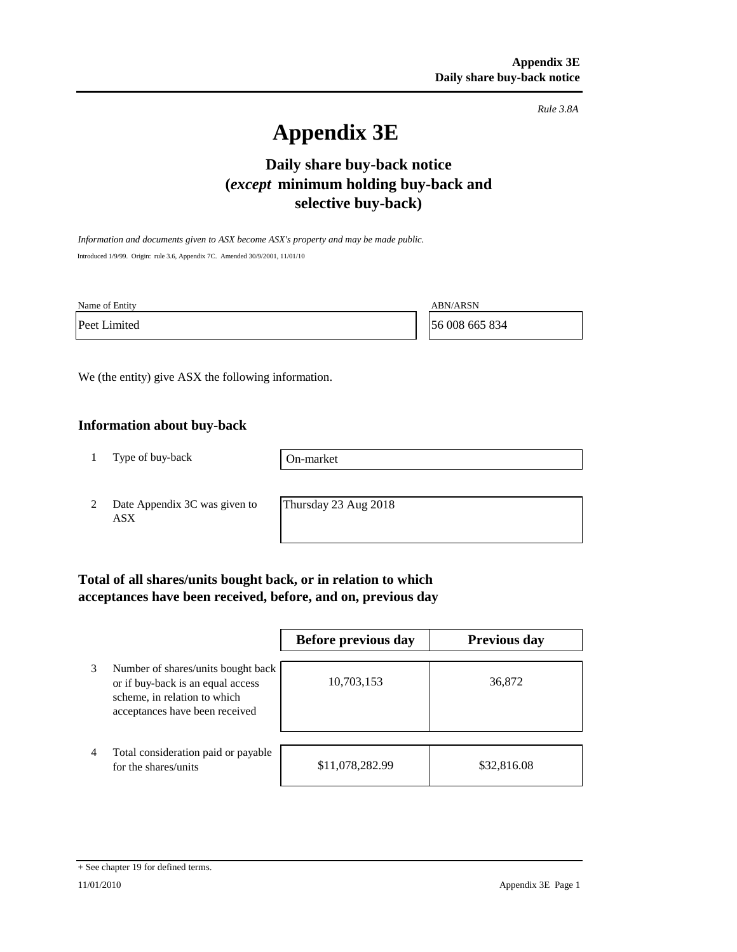*Rule 3.8A*

# **Appendix 3E**

## **Daily share buy-back notice (***except* **minimum holding buy-back and selective buy-back)**

*Information and documents given to ASX become ASX's property and may be made public.* Introduced 1/9/99. Origin: rule 3.6, Appendix 7C. Amended 30/9/2001, 11/01/10

Name of Entity ABN/ARSN

Peet Limited 56 008 665 834

We (the entity) give ASX the following information.

#### **Information about buy-back**

1 Type of buy-back

On-market

2 Date Appendix 3C was given to ASX

Thursday 23 Aug 2018

## **Total of all shares/units bought back, or in relation to which acceptances have been received, before, and on, previous day**

|   |                                                                                                                                           | Before previous day | <b>Previous day</b> |
|---|-------------------------------------------------------------------------------------------------------------------------------------------|---------------------|---------------------|
| 3 | Number of shares/units bought back<br>or if buy-back is an equal access<br>scheme, in relation to which<br>acceptances have been received | 10,703,153          | 36,872              |
| 4 | Total consideration paid or payable<br>for the shares/units                                                                               | \$11,078,282.99     | \$32,816.08         |

<sup>+</sup> See chapter 19 for defined terms.